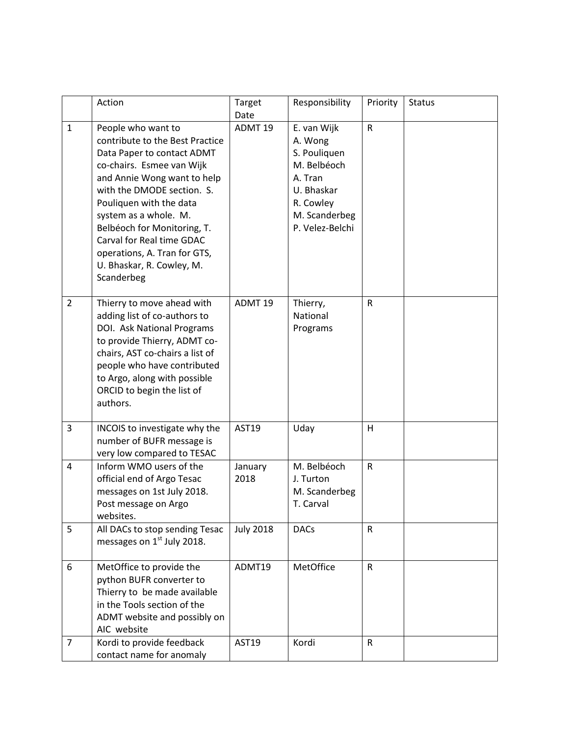|                | Action                                                                                                                                                                                                                                                                                                                                                                   | Target<br>Date     | Responsibility                                                                                                                  | Priority     | <b>Status</b> |
|----------------|--------------------------------------------------------------------------------------------------------------------------------------------------------------------------------------------------------------------------------------------------------------------------------------------------------------------------------------------------------------------------|--------------------|---------------------------------------------------------------------------------------------------------------------------------|--------------|---------------|
| $\mathbf{1}$   | People who want to<br>contribute to the Best Practice<br>Data Paper to contact ADMT<br>co-chairs. Esmee van Wijk<br>and Annie Wong want to help<br>with the DMODE section. S.<br>Pouliquen with the data<br>system as a whole. M.<br>Belbéoch for Monitoring, T.<br>Carval for Real time GDAC<br>operations, A. Tran for GTS,<br>U. Bhaskar, R. Cowley, M.<br>Scanderbeg | ADMT <sub>19</sub> | E. van Wijk<br>A. Wong<br>S. Pouliquen<br>M. Belbéoch<br>A. Tran<br>U. Bhaskar<br>R. Cowley<br>M. Scanderbeg<br>P. Velez-Belchi | $\mathsf{R}$ |               |
| $\overline{2}$ | Thierry to move ahead with<br>adding list of co-authors to<br>DOI. Ask National Programs<br>to provide Thierry, ADMT co-<br>chairs, AST co-chairs a list of<br>people who have contributed<br>to Argo, along with possible<br>ORCID to begin the list of<br>authors.                                                                                                     | ADMT <sub>19</sub> | Thierry,<br>National<br>Programs                                                                                                | ${\sf R}$    |               |
| 3              | INCOIS to investigate why the<br>number of BUFR message is<br>very low compared to TESAC                                                                                                                                                                                                                                                                                 | AST19              | Uday                                                                                                                            | H            |               |
| 4              | Inform WMO users of the<br>official end of Argo Tesac<br>messages on 1st July 2018.<br>Post message on Argo<br>websites.                                                                                                                                                                                                                                                 | January<br>2018    | M. Belbéoch<br>J. Turton<br>M. Scanderbeg<br>T. Carval                                                                          | $\mathsf{R}$ |               |
| 5              | All DACs to stop sending Tesac<br>messages on 1 <sup>st</sup> July 2018.                                                                                                                                                                                                                                                                                                 | <b>July 2018</b>   | <b>DACs</b>                                                                                                                     | $\mathsf{R}$ |               |
| 6              | MetOffice to provide the<br>python BUFR converter to<br>Thierry to be made available<br>in the Tools section of the<br>ADMT website and possibly on<br>AIC website                                                                                                                                                                                                       | ADMT19             | MetOffice                                                                                                                       | $\mathsf{R}$ |               |
| $\overline{7}$ | Kordi to provide feedback<br>contact name for anomaly                                                                                                                                                                                                                                                                                                                    | AST19              | Kordi                                                                                                                           | $\mathsf{R}$ |               |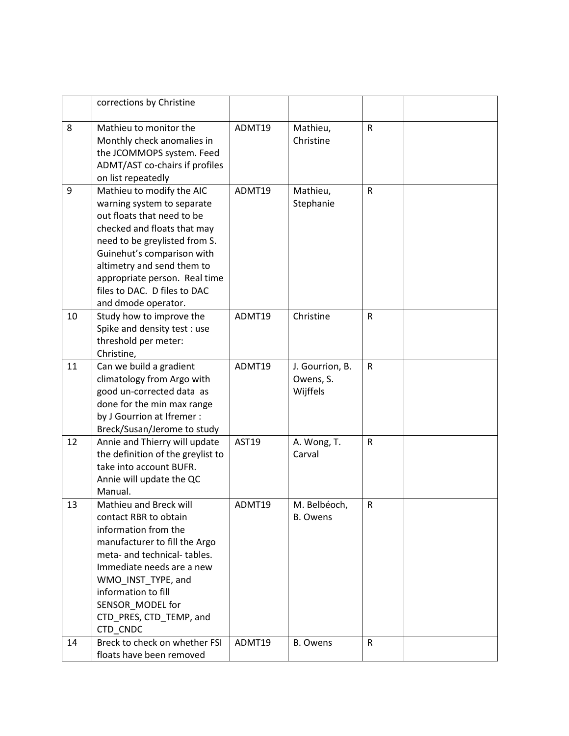|    | corrections by Christine                                                                                                                                                                                                                                                                                  |              |                                          |              |  |
|----|-----------------------------------------------------------------------------------------------------------------------------------------------------------------------------------------------------------------------------------------------------------------------------------------------------------|--------------|------------------------------------------|--------------|--|
| 8  | Mathieu to monitor the<br>Monthly check anomalies in<br>the JCOMMOPS system. Feed<br>ADMT/AST co-chairs if profiles<br>on list repeatedly                                                                                                                                                                 | ADMT19       | Mathieu,<br>Christine                    | $\mathsf{R}$ |  |
| 9  | Mathieu to modify the AIC<br>warning system to separate<br>out floats that need to be<br>checked and floats that may<br>need to be greylisted from S.<br>Guinehut's comparison with<br>altimetry and send them to<br>appropriate person. Real time<br>files to DAC. D files to DAC<br>and dmode operator. | ADMT19       | Mathieu,<br>Stephanie                    | $\mathsf{R}$ |  |
| 10 | Study how to improve the<br>Spike and density test : use<br>threshold per meter:<br>Christine,                                                                                                                                                                                                            | ADMT19       | Christine                                | $\mathsf{R}$ |  |
| 11 | Can we build a gradient<br>climatology from Argo with<br>good un-corrected data as<br>done for the min max range<br>by J Gourrion at Ifremer :<br>Breck/Susan/Jerome to study                                                                                                                             | ADMT19       | J. Gourrion, B.<br>Owens, S.<br>Wijffels | $\mathsf{R}$ |  |
| 12 | Annie and Thierry will update<br>the definition of the greylist to<br>take into account BUFR.<br>Annie will update the QC<br>Manual.                                                                                                                                                                      | <b>AST19</b> | A. Wong, T.<br>Carval                    | $\mathsf{R}$ |  |
| 13 | Mathieu and Breck will<br>contact RBR to obtain<br>information from the<br>manufacturer to fill the Argo<br>meta- and technical- tables.<br>Immediate needs are a new<br>WMO INST TYPE, and<br>information to fill<br>SENSOR MODEL for<br>CTD_PRES, CTD_TEMP, and<br>CTD CNDC                             | ADMT19       | M. Belbéoch,<br><b>B.</b> Owens          | R            |  |
| 14 | Breck to check on whether FSI<br>floats have been removed                                                                                                                                                                                                                                                 | ADMT19       | <b>B.</b> Owens                          | R            |  |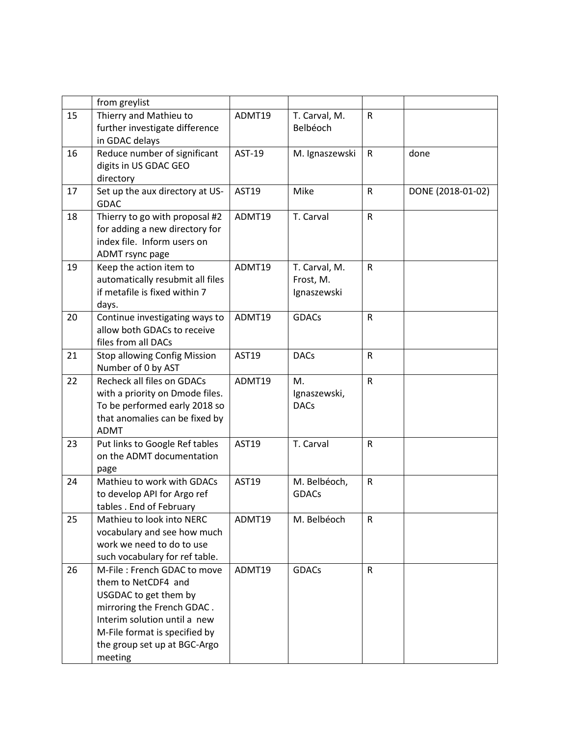|    | from greylist                                                                                                                                                                                                         |              |                                           |              |                   |
|----|-----------------------------------------------------------------------------------------------------------------------------------------------------------------------------------------------------------------------|--------------|-------------------------------------------|--------------|-------------------|
| 15 | Thierry and Mathieu to<br>further investigate difference<br>in GDAC delays                                                                                                                                            | ADMT19       | T. Carval, M.<br>Belbéoch                 | $\mathsf{R}$ |                   |
| 16 | Reduce number of significant<br>digits in US GDAC GEO<br>directory                                                                                                                                                    | AST-19       | M. Ignaszewski                            | $\mathsf{R}$ | done              |
| 17 | Set up the aux directory at US-<br><b>GDAC</b>                                                                                                                                                                        | <b>AST19</b> | Mike                                      | $\mathsf R$  | DONE (2018-01-02) |
| 18 | Thierry to go with proposal #2<br>for adding a new directory for<br>index file. Inform users on<br>ADMT rsync page                                                                                                    | ADMT19       | T. Carval                                 | $\mathsf{R}$ |                   |
| 19 | Keep the action item to<br>automatically resubmit all files<br>if metafile is fixed within 7<br>days.                                                                                                                 | ADMT19       | T. Carval, M.<br>Frost, M.<br>Ignaszewski | $\mathsf{R}$ |                   |
| 20 | Continue investigating ways to<br>allow both GDACs to receive<br>files from all DACs                                                                                                                                  | ADMT19       | <b>GDACs</b>                              | $\mathsf{R}$ |                   |
| 21 | <b>Stop allowing Config Mission</b><br>Number of 0 by AST                                                                                                                                                             | <b>AST19</b> | <b>DACs</b>                               | ${\sf R}$    |                   |
| 22 | Recheck all files on GDACs<br>with a priority on Dmode files.<br>To be performed early 2018 so<br>that anomalies can be fixed by<br><b>ADMT</b>                                                                       | ADMT19       | M.<br>Ignaszewski,<br><b>DACs</b>         | ${\sf R}$    |                   |
| 23 | Put links to Google Ref tables<br>on the ADMT documentation<br>page                                                                                                                                                   | <b>AST19</b> | T. Carval                                 | $\mathsf{R}$ |                   |
| 24 | Mathieu to work with GDACs<br>to develop API for Argo ref<br>tables . End of February                                                                                                                                 | AST19        | M. Belbéoch,<br><b>GDACs</b>              | $\mathsf R$  |                   |
| 25 | Mathieu to look into NERC<br>vocabulary and see how much<br>work we need to do to use<br>such vocabulary for ref table.                                                                                               | ADMT19       | M. Belbéoch                               | R            |                   |
| 26 | M-File: French GDAC to move<br>them to NetCDF4 and<br>USGDAC to get them by<br>mirroring the French GDAC.<br>Interim solution until a new<br>M-File format is specified by<br>the group set up at BGC-Argo<br>meeting | ADMT19       | <b>GDACs</b>                              | $\mathsf R$  |                   |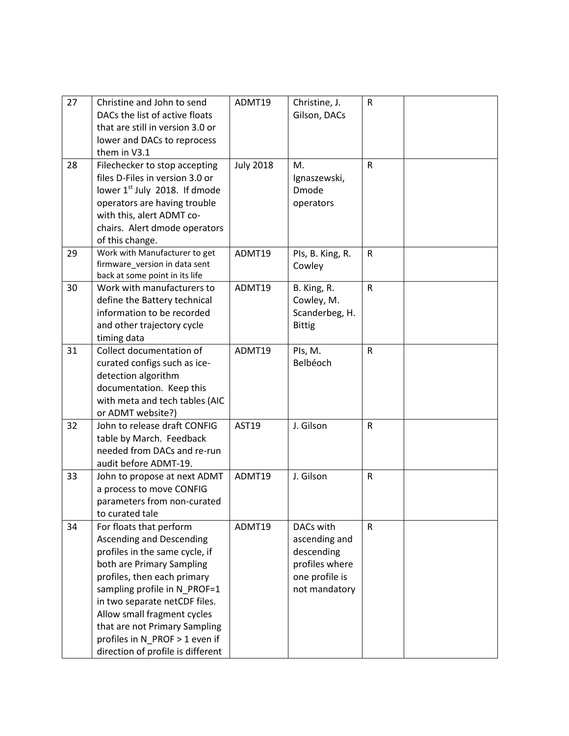| 27 | Christine and John to send        | ADMT19           | Christine, J.    | $\mathsf R$  |  |
|----|-----------------------------------|------------------|------------------|--------------|--|
|    | DACs the list of active floats    |                  | Gilson, DACs     |              |  |
|    | that are still in version 3.0 or  |                  |                  |              |  |
|    | lower and DACs to reprocess       |                  |                  |              |  |
|    | them in V3.1                      |                  |                  |              |  |
| 28 | Filechecker to stop accepting     | <b>July 2018</b> | M.               | ${\sf R}$    |  |
|    | files D-Files in version 3.0 or   |                  | Ignaszewski,     |              |  |
|    | lower 1st July 2018. If dmode     |                  | Dmode            |              |  |
|    | operators are having trouble      |                  | operators        |              |  |
|    | with this, alert ADMT co-         |                  |                  |              |  |
|    | chairs. Alert dmode operators     |                  |                  |              |  |
|    | of this change.                   |                  |                  |              |  |
| 29 | Work with Manufacturer to get     | ADMT19           | Pls, B. King, R. | R            |  |
|    | firmware_version in data sent     |                  | Cowley           |              |  |
|    | back at some point in its life    |                  |                  |              |  |
| 30 | Work with manufacturers to        | ADMT19           | B. King, R.      | $\mathsf{R}$ |  |
|    | define the Battery technical      |                  | Cowley, M.       |              |  |
|    | information to be recorded        |                  | Scanderbeg, H.   |              |  |
|    | and other trajectory cycle        |                  | <b>Bittig</b>    |              |  |
|    | timing data                       |                  |                  |              |  |
| 31 | Collect documentation of          | ADMT19           | PIs, M.          | $\mathsf{R}$ |  |
|    | curated configs such as ice-      |                  | Belbéoch         |              |  |
|    | detection algorithm               |                  |                  |              |  |
|    | documentation. Keep this          |                  |                  |              |  |
|    | with meta and tech tables (AIC    |                  |                  |              |  |
|    | or ADMT website?)                 |                  |                  |              |  |
| 32 | John to release draft CONFIG      | <b>AST19</b>     | J. Gilson        | ${\sf R}$    |  |
|    | table by March. Feedback          |                  |                  |              |  |
|    | needed from DACs and re-run       |                  |                  |              |  |
|    | audit before ADMT-19.             |                  |                  |              |  |
| 33 | John to propose at next ADMT      | ADMT19           | J. Gilson        | R            |  |
|    | a process to move CONFIG          |                  |                  |              |  |
|    | parameters from non-curated       |                  |                  |              |  |
|    | to curated tale                   |                  |                  |              |  |
| 34 | For floats that perform           | ADMT19           | DACs with        | R            |  |
|    | <b>Ascending and Descending</b>   |                  | ascending and    |              |  |
|    | profiles in the same cycle, if    |                  | descending       |              |  |
|    | both are Primary Sampling         |                  | profiles where   |              |  |
|    | profiles, then each primary       |                  | one profile is   |              |  |
|    | sampling profile in N PROF=1      |                  | not mandatory    |              |  |
|    | in two separate netCDF files.     |                  |                  |              |  |
|    | Allow small fragment cycles       |                  |                  |              |  |
|    | that are not Primary Sampling     |                  |                  |              |  |
|    | profiles in N_PROF > 1 even if    |                  |                  |              |  |
|    | direction of profile is different |                  |                  |              |  |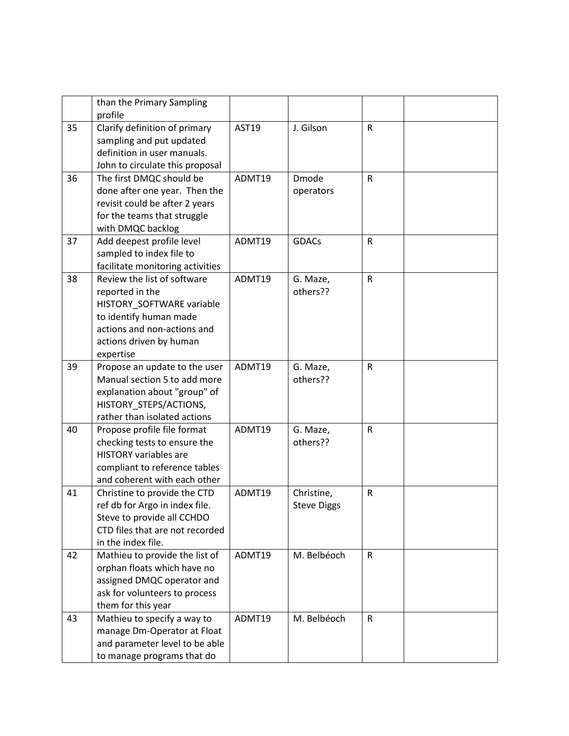|    | than the Primary Sampling<br>profile                                                                                                                                         |              |                                  |              |  |
|----|------------------------------------------------------------------------------------------------------------------------------------------------------------------------------|--------------|----------------------------------|--------------|--|
| 35 | Clarify definition of primary<br>sampling and put updated<br>definition in user manuals.<br>John to circulate this proposal                                                  | <b>AST19</b> | J. Gilson                        | $\mathsf{R}$ |  |
| 36 | The first DMQC should be<br>done after one year. Then the<br>revisit could be after 2 years<br>for the teams that struggle<br>with DMQC backlog                              | ADMT19       | <b>Dmode</b><br>operators        | $\mathsf{R}$ |  |
| 37 | Add deepest profile level<br>sampled to index file to<br>facilitate monitoring activities                                                                                    | ADMT19       | <b>GDACs</b>                     | $\mathsf{R}$ |  |
| 38 | Review the list of software<br>reported in the<br>HISTORY_SOFTWARE variable<br>to identify human made<br>actions and non-actions and<br>actions driven by human<br>expertise | ADMT19       | G. Maze,<br>others??             | $\mathsf{R}$ |  |
| 39 | Propose an update to the user<br>Manual section 5 to add more<br>explanation about "group" of<br>HISTORY_STEPS/ACTIONS,<br>rather than isolated actions                      | ADMT19       | G. Maze,<br>others??             | $\mathsf{R}$ |  |
| 40 | Propose profile file format<br>checking tests to ensure the<br><b>HISTORY variables are</b><br>compliant to reference tables<br>and coherent with each other                 | ADMT19       | G. Maze,<br>others??             | $\mathsf{R}$ |  |
| 41 | Christine to provide the CTD<br>ref db for Argo in index file.<br>Steve to provide all CCHDO<br>CTD files that are not recorded<br>in the index file.                        | ADMT19       | Christine,<br><b>Steve Diggs</b> | $\mathsf{R}$ |  |
| 42 | Mathieu to provide the list of<br>orphan floats which have no<br>assigned DMQC operator and<br>ask for volunteers to process<br>them for this year                           | ADMT19       | M. Belbéoch                      | $\mathsf{R}$ |  |
| 43 | Mathieu to specify a way to<br>manage Dm-Operator at Float<br>and parameter level to be able<br>to manage programs that do                                                   | ADMT19       | M. Belbéoch                      | $\mathsf{R}$ |  |